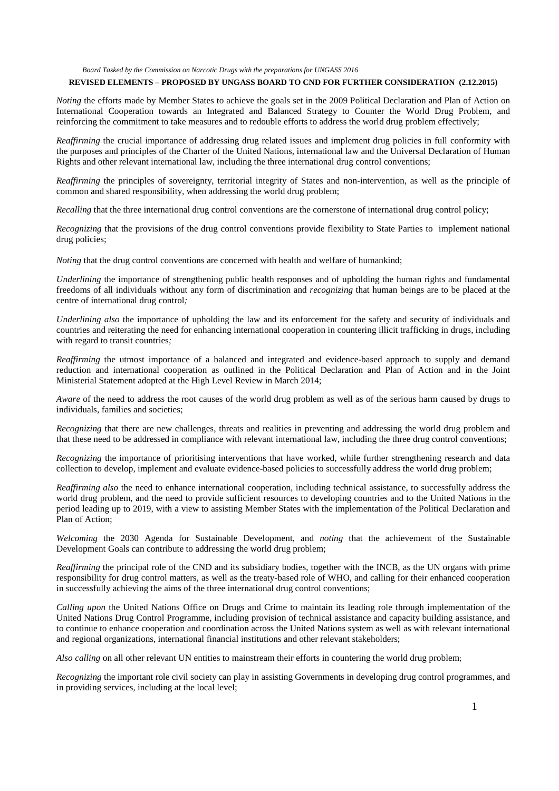# **REVISED ELEMENTS – PROPOSED BY UNGASS BOARD TO CND FOR FURTHER CONSIDERATION (2.12.2015)**

*Noting* the efforts made by Member States to achieve the goals set in the 2009 Political Declaration and Plan of Action on International Cooperation towards an Integrated and Balanced Strategy to Counter the World Drug Problem, and reinforcing the commitment to take measures and to redouble efforts to address the world drug problem effectively;

*Reaffirming* the crucial importance of addressing drug related issues and implement drug policies in full conformity with the purposes and principles of the Charter of the United Nations, international law and the Universal Declaration of Human Rights and other relevant international law, including the three international drug control conventions;

*Reaffirming* the principles of sovereignty, territorial integrity of States and non-intervention, as well as the principle of common and shared responsibility, when addressing the world drug problem;

*Recalling* that the three international drug control conventions are the cornerstone of international drug control policy;

*Recognizing* that the provisions of the drug control conventions provide flexibility to State Parties to implement national drug policies;

*Noting* that the drug control conventions are concerned with health and welfare of humankind;

*Underlining* the importance of strengthening public health responses and of upholding the human rights and fundamental freedoms of all individuals without any form of discrimination and *recognizing* that human beings are to be placed at the centre of international drug control*;*

*Underlining also* the importance of upholding the law and its enforcement for the safety and security of individuals and countries and reiterating the need for enhancing international cooperation in countering illicit trafficking in drugs*,* including with regard to transit countries*;*

*Reaffirming* the utmost importance of a balanced and integrated and evidence-based approach to supply and demand reduction and international cooperation as outlined in the Political Declaration and Plan of Action and in the Joint Ministerial Statement adopted at the High Level Review in March 2014;

*Aware* of the need to address the root causes of the world drug problem as well as of the serious harm caused by drugs to individuals, families and societies;

*Recognizing* that there are new challenges, threats and realities in preventing and addressing the world drug problem and that these need to be addressed in compliance with relevant international law, including the three drug control conventions;

*Recognizing* the importance of prioritising interventions that have worked, while further strengthening research and data collection to develop, implement and evaluate evidence-based policies to successfully address the world drug problem;

*Reaffirming also* the need to enhance international cooperation, including technical assistance, to successfully address the world drug problem, and the need to provide sufficient resources to developing countries and to the United Nations in the period leading up to 2019, with a view to assisting Member States with the implementation of the Political Declaration and Plan of Action;

*Welcoming* the 2030 Agenda for Sustainable Development, and *noting* that the achievement of the Sustainable Development Goals can contribute to addressing the world drug problem;

*Reaffirming* the principal role of the CND and its subsidiary bodies, together with the INCB, as the UN organs with prime responsibility for drug control matters, as well as the treaty-based role of WHO, and calling for their enhanced cooperation in successfully achieving the aims of the three international drug control conventions;

*Calling upon* the United Nations Office on Drugs and Crime to maintain its leading role through implementation of the United Nations Drug Control Programme, including provision of technical assistance and capacity building assistance, and to continue to enhance cooperation and coordination across the United Nations system as well as with relevant international and regional organizations, international financial institutions and other relevant stakeholders;

*Also calling* on all other relevant UN entities to mainstream their efforts in countering the world drug problem;

*Recognizing* the important role civil society can play in assisting Governments in developing drug control programmes, and in providing services, including at the local level;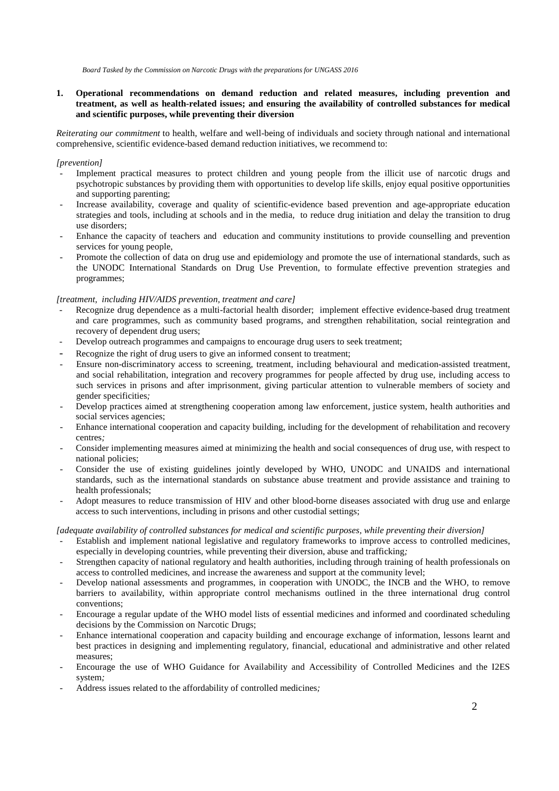# **1. Operational recommendations on demand reduction and related measures, including prevention and treatment, as well as health-related issues; and ensuring the availability of controlled substances for medical and scientific purposes, while preventing their diversion**

*Reiterating our commitment* to health, welfare and well-being of individuals and society through national and international comprehensive, scientific evidence-based demand reduction initiatives, we recommend to:

# *[prevention]*

- Implement practical measures to protect children and young people from the illicit use of narcotic drugs and psychotropic substances by providing them with opportunities to develop life skills, enjoy equal positive opportunities and supporting parenting;
- *-* Increase availability, coverage and quality of scientific-evidence based prevention and age-appropriate education strategies and tools, including at schools and in the media*,* to reduce drug initiation and delay the transition to drug use disorders;
- *-* Enhance the capacity of teachers and education and community institutions to provide counselling and prevention services for young people,
- *-* Promote the collection of data on drug use and epidemiology and promote the use of international standards, such as the UNODC International Standards on Drug Use Prevention, to formulate effective prevention strategies and programmes;

## *[treatment, including HIV/AIDS prevention, treatment and care]*

- *-* Recognize drug dependence as a multi-factorial health disorder; implement effective evidence-based drug treatment and care programmes, such as community based programs, and strengthen rehabilitation, social reintegration and recovery of dependent drug users;
- *-* Develop outreach programmes and campaigns to encourage drug users to seek treatment;
- *-* Recognize the right of drug users to give an informed consent to treatment;
- *-* Ensure non-discriminatory access to screening, treatment, including behavioural and medication-assisted treatment, and social rehabilitation, integration and recovery programmes for people affected by drug use, including access to such services in prisons and after imprisonment, giving particular attention to vulnerable members of society and gender specificities*;*
- *-* Develop practices aimed at strengthening cooperation among law enforcement, justice system, health authorities and social services agencies;
- *-* Enhance international cooperation and capacity building, including for the development of rehabilitation and recovery centres*;*
- *-* Consider implementing measures aimed at minimizing the health and social consequences of drug use, with respect to national policies;
- *-* Consider the use of existing guidelines jointly developed by WHO, UNODC and UNAIDS and international standards, such as the international standards on substance abuse treatment and provide assistance and training to health professionals;
- *-* Adopt measures to reduce transmission of HIV and other blood-borne diseases associated with drug use and enlarge access to such interventions, including in prisons and other custodial settings;

[adequate availability of controlled substances for medical and scientific purposes, while preventing their diversion]

- *-* Establish and implement national legislative and regulatory frameworks to improve access to controlled medicines, especially in developing countries*,* while preventing their diversion, abuse and trafficking*;*
- *-* Strengthen capacity of national regulatory and health authorities, including through training of health professionals on access to controlled medicines, and increase the awareness and support at the community level;
- *-* Develop national assessments and programmes, in cooperation with UNODC, the INCB and the WHO, to remove barriers to availability, within appropriate control mechanisms outlined in the three international drug control conventions;
- *-* Encourage a regular update of the WHO model lists of essential medicines and informed and coordinated scheduling decisions by the Commission on Narcotic Drugs;
- *-* Enhance international cooperation and capacity building and encourage exchange of information, lessons learnt and best practices in designing and implementing regulatory, financial, educational and administrative and other related measures;
- *-* Encourage the use of WHO Guidance for Availability and Accessibility of Controlled Medicines and the I2ES system*;*
- *-* Address issues related to the affordability of controlled medicines*;*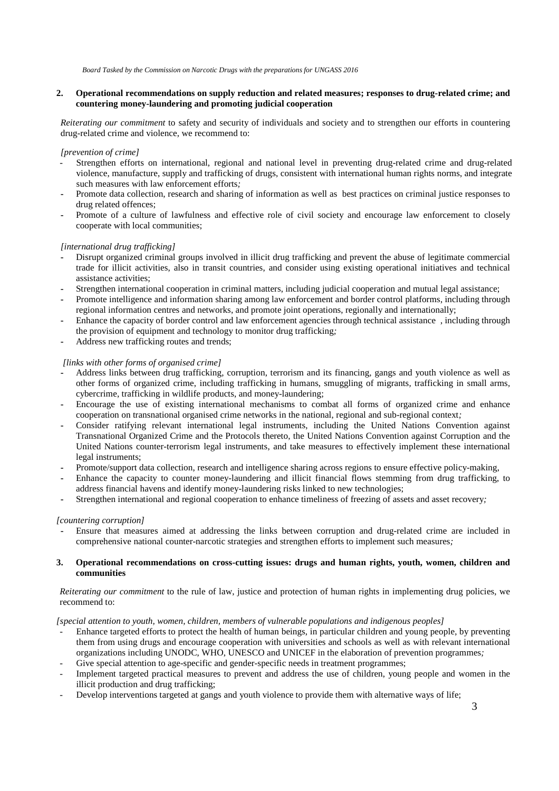# **2. Operational recommendations on supply reduction and related measures; responses to drug-related crime; and countering money-laundering and promoting judicial cooperation**

*Reiterating our commitment* to safety and security of individuals and society and to strengthen our efforts in countering drug-related crime and violence, we recommend to:

# *[prevention of crime]*

- *-* Strengthen efforts on international, regional and national level in preventing drug-related crime and drug-related violence, manufacture, supply and trafficking of drugs, consistent with international human rights norms, and integrate such measures with law enforcement efforts*;*
- **-** Promote data collection, research and sharing of information as well as best practices on criminal justice responses to drug related offences;
- **-** Promote of a culture of lawfulness and effective role of civil society and encourage law enforcement to closely cooperate with local communities;

# *[international drug trafficking]*

- **-** Disrupt organized criminal groups involved in illicit drug trafficking and prevent the abuse of legitimate commercial trade for illicit activities, also in transit countries, and consider using existing operational initiatives and technical assistance activities;
- **-** Strengthen international cooperation in criminal matters, including judicial cooperation and mutual legal assistance;
- **-** Promote intelligence and information sharing among law enforcement and border control platforms, including through regional information centres and networks, and promote joint operations, regionally and internationally;
- **-** Enhance the capacity of border control and law enforcement agencies through technical assistance , including through the provision of equipment and technology to monitor drug trafficking*;*
- **-** Address new trafficking routes and trends;

# *[links with other forms of organised crime]*

- **-** Address links between drug trafficking, corruption, terrorism and its financing*,* gangs and youth violence as well as other forms of organized crime, including trafficking in humans, smuggling of migrants*,* trafficking in small arms*,* cybercrime, trafficking in wildlife products, and money-laundering;
- **-** Encourage the use of existing international mechanisms to combat all forms of organized crime and enhance cooperation on transnational organised crime networks in the national, regional and sub-regional context*;*
- **-** Consider ratifying relevant international legal instruments, including the United Nations Convention against Transnational Organized Crime and the Protocols thereto, the United Nations Convention against Corruption and the United Nations counter-terrorism legal instruments, and take measures to effectively implement these international legal instruments;
- **-** Promote/support data collection, research and intelligence sharing across regions to ensure effective policy-making,
- **-** Enhance the capacity to counter money-laundering and illicit financial flows stemming from drug trafficking, to address financial havens and identify money-laundering risks linked to new technologies;
- **-** Strengthen international and regional cooperation to enhance timeliness of freezing of assets and asset recovery*;*

## *[countering corruption]*

**-** Ensure that measures aimed at addressing the links between corruption and drug-related crime are included in comprehensive national counter-narcotic strategies and strengthen efforts to implement such measures*;*

# **3. Operational recommendations on cross-cutting issues: drugs and human rights, youth, women, children and communities**

*Reiterating our commitment* to the rule of law, justice and protection of human rights in implementing drug policies, we recommend to:

# *[special attention to youth, women, children, members of vulnerable populations and indigenous peoples]*

- *-* Enhance targeted efforts to protect the health of human beings, in particular children and young people, by preventing them from using drugs and encourage cooperation with universities and schools as well as with relevant international organizations including UNODC, WHO, UNESCO and UNICEF in the elaboration of prevention programmes*;*
- Give special attention to age-specific and gender-specific needs in treatment programmes;
- *-* Implement targeted practical measures to prevent and address the use of children, young people and women in the illicit production and drug trafficking;
- *-* Develop interventions targeted at gangs and youth violence to provide them with alternative ways of life;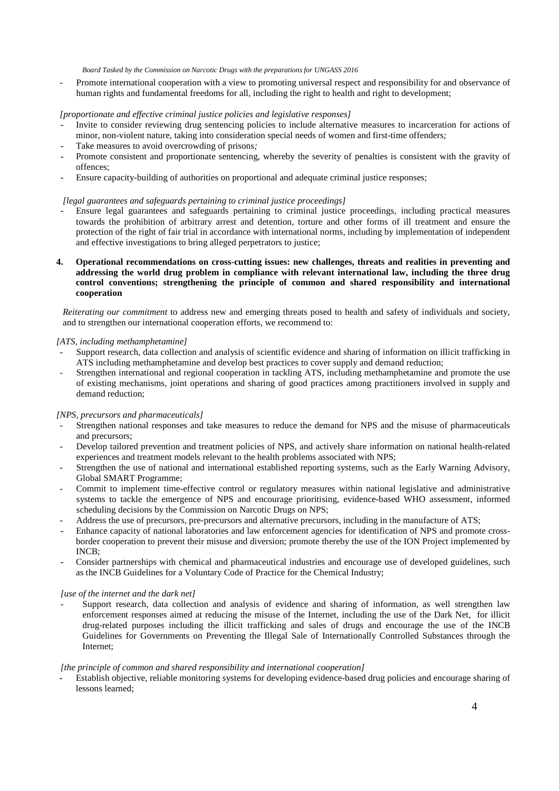*-* Promote international cooperation with a view to promoting universal respect and responsibility for and observance of human rights and fundamental freedoms for all, including the right to health and right to development;

*[proportionate and effective criminal justice policies and legislative responses]* 

- **-** Invite to consider reviewing drug sentencing policies to include alternative measures to incarceration for actions of minor, non-violent nature, taking into consideration special needs of women and first-time offenders*;*
- **-** Take measures to avoid overcrowding of prisons*;*
- **-** Promote consistent and proportionate sentencing, whereby the severity of penalties is consistent with the gravity of offences;
- **-** Ensure capacity-building of authorities on proportional and adequate criminal justice responses;

# *[legal guarantees and safeguards pertaining to criminal justice proceedings]*

- **-** Ensure legal guarantees and safeguards pertaining to criminal justice proceedings, including practical measures towards the prohibition of arbitrary arrest and detention, torture and other forms of ill treatment and ensure the protection of the right of fair trial in accordance with international norms, including by implementation of independent and effective investigations to bring alleged perpetrators to justice;
- **4. Operational recommendations on cross-cutting issues: new challenges, threats and realities in preventing and addressing the world drug problem in compliance with relevant international law, including the three drug control conventions; strengthening the principle of common and shared responsibility and international cooperation**

*Reiterating our commitment* to address new and emerging threats posed to health and safety of individuals and society, and to strengthen our international cooperation efforts, we recommend to:

## *[ATS, including methamphetamine]*

- *-* Support research, data collection and analysis of scientific evidence and sharing of information on illicit trafficking in ATS including methamphetamine and develop best practices to cover supply and demand reduction;
- *-* Strengthen international and regional cooperation in tackling ATS, including methamphetamine and promote the use of existing mechanisms, joint operations and sharing of good practices among practitioners involved in supply and demand reduction;

## *[NPS, precursors and pharmaceuticals]*

- *-* Strengthen national responses and take measures to reduce the demand for NPS and the misuse of pharmaceuticals and precursors;
- *-* Develop tailored prevention and treatment policies of NPS, and actively share information on national health-related experiences and treatment models relevant to the health problems associated with NPS;
- *-* Strengthen the use of national and international established reporting systems, such as the Early Warning Advisory, Global SMART Programme;
- *-* Commit to implement time-effective control or regulatory measures within national legislative and administrative systems to tackle the emergence of NPS and encourage prioritising, evidence-based WHO assessment, informed scheduling decisions by the Commission on Narcotic Drugs on NPS;
- *-* Address the use of precursors, pre-precursors and alternative precursors, including in the manufacture of ATS;
- **-** Enhance capacity of national laboratories and law enforcement agencies for identification of NPS and promote crossborder cooperation to prevent their misuse and diversion; promote thereby the use of the ION Project implemented by INCB;
- **-** Consider partnerships with chemical and pharmaceutical industries and encourage use of developed guidelines, such as the INCB Guidelines for a Voluntary Code of Practice for the Chemical Industry;

## *[use of the internet and the dark net]*

Support research, data collection and analysis of evidence and sharing of information, as well strengthen law enforcement responses aimed at reducing the misuse of the Internet, including the use of the Dark Net, for illicit drug-related purposes including the illicit trafficking and sales of drugs and encourage the use of the INCB Guidelines for Governments on Preventing the Illegal Sale of Internationally Controlled Substances through the Internet;

## *[the principle of common and shared responsibility and international cooperation]*

**-** Establish objective, reliable monitoring systems for developing evidence-based drug policies and encourage sharing of lessons learned;